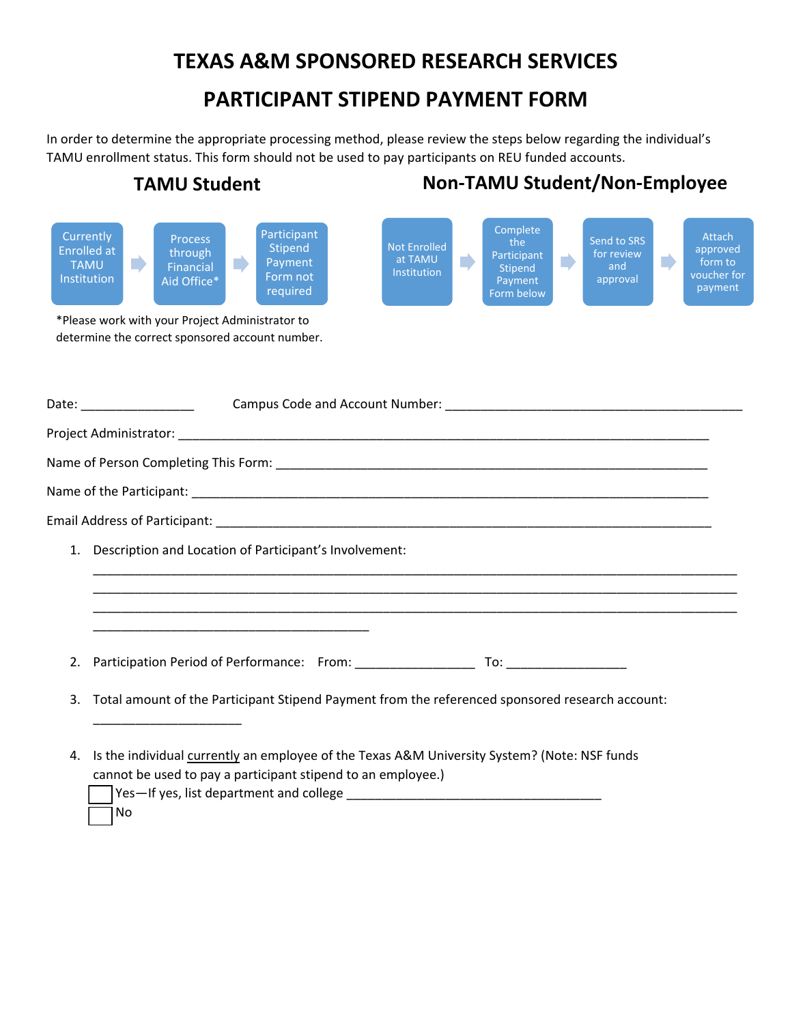## **TEXAS A&M SPONSORED RESEARCH SERVICES**

## **PARTICIPANT STIPEND PAYMENT FORM**

In order to determine the appropriate processing method, please review the steps below regarding the individual's TAMU enrollment status. This form should not be used to pay participants on REU funded accounts.



cannot be used to pay a participant stipend to an employee.)